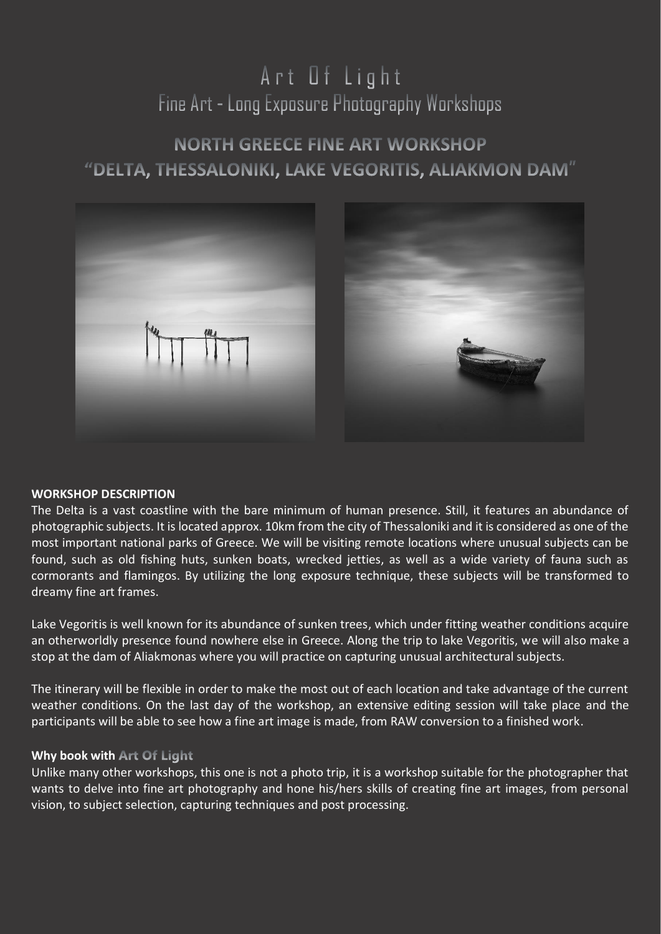# Art Of Light Fine Art - Long Exposure Photography Workshops

# **NORTH GREECE FINE ART WORKSHOP** "DELTA, THESSALONIKI, LAKE VEGORITIS, ALIAKMON DAM"



# **WORKSHOP DESCRIPTION**

The Delta is a vast coastline with the bare minimum of human presence. Still, it features an abundance of photographic subjects. It is located approx. 10km from the city of Thessaloniki and it is considered as one of the most important national parks of Greece. We will be visiting remote locations where unusual subjects can be found, such as old fishing huts, sunken boats, wrecked jetties, as well as a wide variety of fauna such as cormorants and flamingos. By utilizing the long exposure technique, these subjects will be transformed to dreamy fine art frames.

Lake Vegoritis is well known for its abundance of sunken trees, which under fitting weather conditions acquire an otherworldly presence found nowhere else in Greece. Along the trip to lake Vegoritis, we will also make a stop at the dam of Aliakmonas where you will practice on capturing unusual architectural subjects.

The itinerary will be flexible in order to make the most out of each location and take advantage of the current weather conditions. On the last day of the workshop, an extensive editing session will take place and the participants will be able to see how a fine art image is made, from RAW conversion to a finished work.

# **Why book with Art Of Light**

Unlike many other workshops, this one is not a photo trip, it is a workshop suitable for the photographer that wants to delve into fine art photography and hone his/hers skills of creating fine art images, from personal vision, to subject selection, capturing techniques and post processing.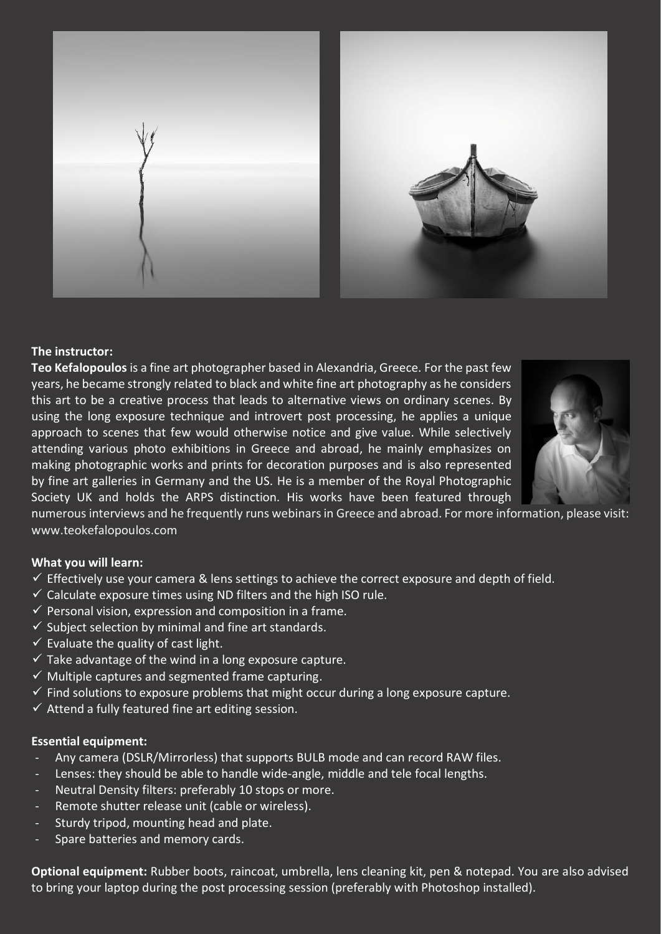

# **The instructor:**

**Teo Kefalopoulos** is a fine art photographer based in Alexandria, Greece. For the past few years, he became strongly related to black and white fine art photography as he considers this art to be a creative process that leads to alternative views on ordinary scenes. By using the long exposure technique and introvert post processing, he applies a unique approach to scenes that few would otherwise notice and give value. While selectively attending various photo exhibitions in Greece and abroad, he mainly emphasizes on making photographic works and prints for decoration purposes and is also represented by fine art galleries in Germany and the US. He is a member of the Royal Photographic Society UK and holds the ARPS distinction. His works have been featured through



numerous interviews and he frequently runs webinarsin Greece and abroad. For more information, please visit: [www.teokefalopoulos.com](http://www.teokefalopoulos.com/)

# **What you will learn:**

- $\checkmark$  Effectively use your camera & lens settings to achieve the correct exposure and depth of field.
- $\checkmark$  Calculate exposure times using ND filters and the high ISO rule.
- $\checkmark$  Personal vision, expression and composition in a frame.
- $\checkmark$  Subject selection by minimal and fine art standards.
- $\checkmark$  Evaluate the quality of cast light.
- $\checkmark$  Take advantage of the wind in a long exposure capture.
- $\checkmark$  Multiple captures and segmented frame capturing.
- $\checkmark$  Find solutions to exposure problems that might occur during a long exposure capture.
- $\checkmark$  Attend a fully featured fine art editing session.

#### **Essential equipment:**

- Any camera (DSLR/Mirrorless) that supports BULB mode and can record RAW files.
- Lenses: they should be able to handle wide-angle, middle and tele focal lengths.
- Neutral Density filters: preferably 10 stops or more.
- Remote shutter release unit (cable or wireless).
- Sturdy tripod, mounting head and plate.
- Spare batteries and memory cards.

**Optional equipment:** Rubber boots, raincoat, umbrella, lens cleaning kit, pen & notepad. You are also advised to bring your laptop during the post processing session (preferably with Photoshop installed).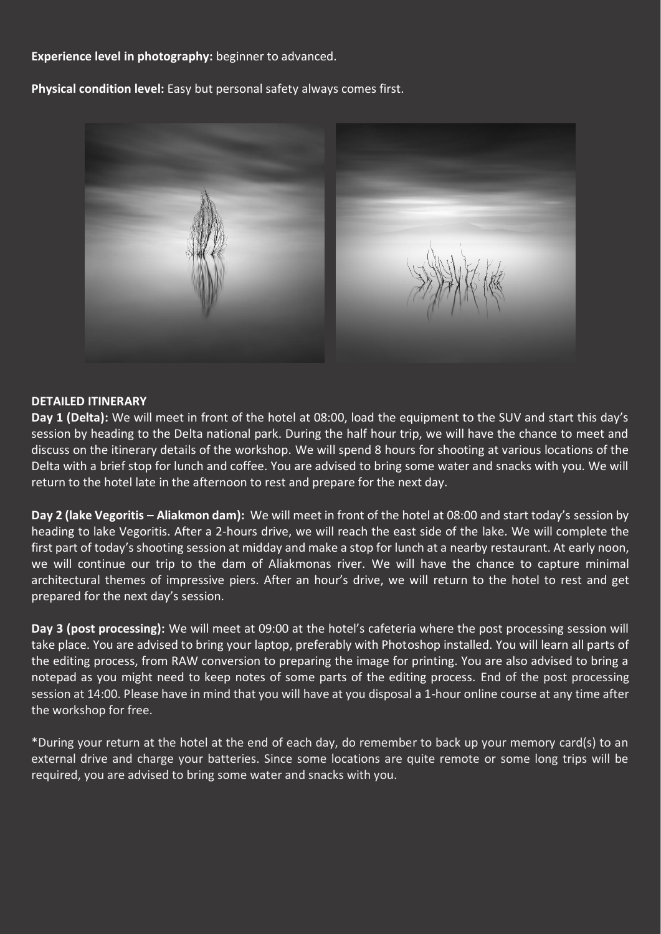# **Experience level in photography:** beginner to advanced.

**Physical condition level:** Easy but personal safety always comes first.



# **DETAILED ITINERARY**

**Day 1 (Delta):** We will meet in front of the hotel at 08:00, load the equipment to the SUV and start this day's session by heading to the Delta national park. During the half hour trip, we will have the chance to meet and discuss on the itinerary details of the workshop. We will spend 8 hours for shooting at various locations of the Delta with a brief stop for lunch and coffee. You are advised to bring some water and snacks with you. We will return to the hotel late in the afternoon to rest and prepare for the next day.

**Day 2 (lake Vegoritis – Aliakmon dam):** We will meet in front of the hotel at 08:00 and start today's session by heading to lake Vegoritis. After a 2-hours drive, we will reach the east side of the lake. We will complete the first part of today's shooting session at midday and make a stop for lunch at a nearby restaurant. At early noon, we will continue our trip to the dam of Aliakmonas river. We will have the chance to capture minimal architectural themes of impressive piers. After an hour's drive, we will return to the hotel to rest and get prepared for the next day's session.

**Day 3 (post processing):** We will meet at 09:00 at the hotel's cafeteria where the post processing session will take place. You are advised to bring your laptop, preferably with Photoshop installed. You will learn all parts of the editing process, from RAW conversion to preparing the image for printing. You are also advised to bring a notepad as you might need to keep notes of some parts of the editing process. End of the post processing session at 14:00. Please have in mind that you will have at you disposal a 1-hour online course at any time after the workshop for free.

\*During your return at the hotel at the end of each day, do remember to back up your memory card(s) to an external drive and charge your batteries. Since some locations are quite remote or some long trips will be required, you are advised to bring some water and snacks with you.